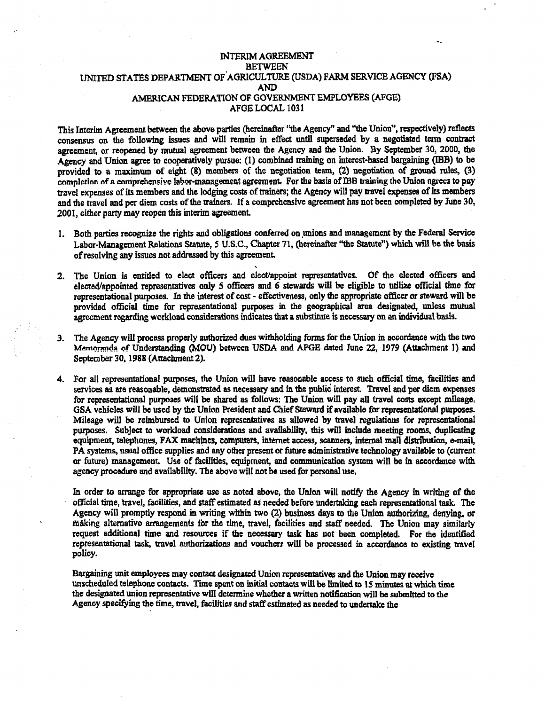### INTERIM AGREEMENT **BETWEEN** UNITED STATES DEPARTMENT OF.AGRlCULTURE (USDA) FARM SERVICE AGENCY (FSA) AND AMERICAN FEDERATION OF GOVERNMENT EMPLOYEES {AFGE) AFGELOCAL 1031

This Interim Agreement between the above parties (hereinafter ''the Agency" and "the Union", respectively) reflects consensus on the following issues and will remain in effect until superseded by a negotiated tenn contract agreement, or reopened by mutual agreement between lhe Agency and the Union. By September 30, 2000, the Agency and Union agree to cooperatively pursue: (1) combined training on interest-based bargaining (IBB) to be provided to a maximum of eight (8) members of the negotiation team, (2) negotiation of ground rules, (3) completion of a comprehensive labor-management agreement. For the basis of IBB training the Union agrees to pay travel expenses of its members and the lodging costs of trainers; the Agency will pay travel expenses of its members and the travel and per diem costs of the trainers. Jf a comprehensive agreement has not been completed by June 30, 2001, either party may reopen this interim agreement.

- 1. Both parties recognize the rights and obligations conferred on unions and management by the Federal Service Labor-Management Relations Statute, 5 U.S.C., Chapter 71, (hereinafter "the Statute") which will be the basis ofresolving any issues not addressed by this agreement
- 2. The Union is entitled to elect officers and elect/appoint representatives. Of the elected officers and elected/appointed representatives only *5* officers and 6 stewards will be eligible to utilize official time for representational purposes. In the interest of cost - effectiveness, only the appropriate officer or steward will be provided official time for representational purposes in the geographical area designated, unless mutual agreement regarding workload considerations indicates that a substitute is necessary on an individual basis.
- 3. The Agency will process properly authorized dues withholding forms for the Union in accordance with the two Memoranda of Understanding (MOU) between USDA and AFGE dated June 22, 1979 (Attachment 1) and September 30, 1988 (Attachment 2).
- 4. For all representational purposes, the Union will have reasonable access to such official time, facilities and services as are reasonable, demonstrated as necessary and in the public interest. Travel and per diem expenses for representational purposes will be shared as follows: The Union will pay all travel costs except mileage. GSA vehicles will be used by the Union President and Chief Steward ifavailable for representational purposes. Mileage will be reimbursed to Union representatives as allowed by travel regulations for representational pwposes. Subject to workload considerations and availability, this will include meeting rooms, duplicating equipment, telephones, FAX machines, computers, internet access, scanners, internal mail distribution, e-mail, PA systems, usual office supplies and any other present or future administrative technology available to (current or future) management. Use of facilities, equipment, and communication system will be in accordance with agency procedure and availability. 1he above will not be used for personal use.

In order to arrange for appropriate use as noted above, the Union will notify the Agency in writing of the official time, travel, facilities, and staffestimated as needed before undertaking each representational task. The Agency will promptly respond in writing within two (2) business days to the Union authorizing, denying, or making alternative arrangements for the time, travel, facilities and staff needed. The Union may similarly request additional time and resources if the necessary task has not been completed. For the identified representational task, vavel authorizations and vouchers will be processed in accordance to existing travel policy.

Bargaining unit employees may contact designated Union representatives and the Union may receive unscheduled telephone contacts. Time spent on initial contacts will be limited to 15 minutes at which time the designated union representative will determine whether a written notification will be submitted to the Agency specifying the time, travel, facilities and staff estimated as needed to undertake the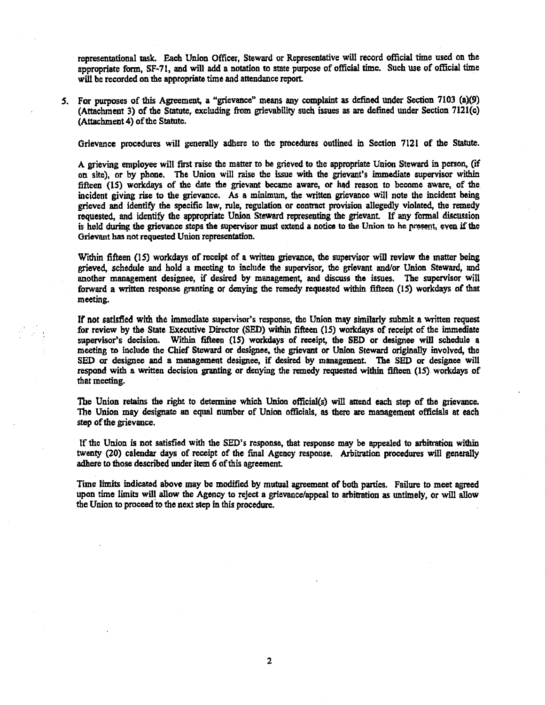representational task. Each Union Officer, Steward or Representative will record official time used on the appropriate fonn, SF-71, and will add a notation to state purpose of official time. Such use of official time will be recorded on the appropriate time and attendance report.

*S.*  For purposes of this Agreement, a "grievance" means any complaint as defined under Section 7103 (a)(9) (Attachment 3) of the Statute, excluding from grievability such issues as are defined under Section 7121(c) (Attachment 4) of the Statute.

Grievance procedures will generally adhere to the procedures outlined in Section 7121 of the Statute.

A grieving employee will first raise the matter to be grieved to the appropriate Union Steward in person, (if on site), or by phone. The Union will raise the issue with the grievant's immediate supervisor within fifteen (15) workdays of the date the grievant became aware, or had reason to become aware, of the incident giving rise to the grievance. As a minimum, the written grievance will note the incident being grieved and identify the specific law, rule, regulation or contract provision allegedly violated, the remedy requested, and identify the appropriate Union Steward representing the grievant. If any formal discussion is held during the grievance steps the supervisor must extend a notice to the Union to he present, even if the Grievant bas not requested Union representation.

Within fifteen (15) workdays of receipt of a written grievance, the supervisor will review the matter being grieved, schedule and hold a meeting to include the supervisor, the grievant and/or Union Steward, and another management designee, if desired by management, and discuss me issues. The supervisor will forward a written response granting or denying the remedy requested within fifteen ( 1S) workdays of that meeting.

If not satisfied with the immediate supervisor's response, the Union may similarly submit a written request for review by the State Executive Director (SED) within fifteen (15) workdays of receipt of the immediate supervisor's decision. Within fifteen (IS) workdays of receipt, the SED or designee will schedule a meeting to include the Chief Steward or designee, the grievant or Union Steward originally involved, the SED or designee and a management designee, if desired by management. The SED or designee will respond with a written decision granting or denying the remedy requested within fifteen  $(15)$  workdays of that meeting.

The Union retains the right to determine which Union official(s) will attend each step of the grievance. The Union may designate an equal nwnber of Union officials. as there are management officials at eaeb step of the grievance.

If the Union is not satisfied with the SED's response, that response may be appealed to arbitration within twenty (20) calendar days of receipt of the final Agency response. Arbitration procedures will generally adhere to those described under item 6 of this agreement.

Time limits indicated above may be modified by mutual agreement of both parties. Failure to meet agreed upon time limits will allow the Agency to reject a grievance/appeal to arbitration as untimely, or will allow the Union to proceed to the next step in this procedure.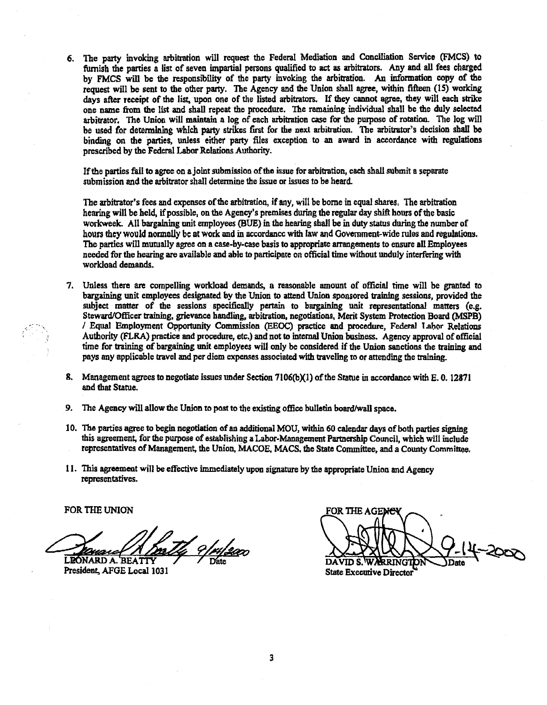6. The party invoking arbitration will request the Federal Mediation and Conciliation Service (FMCS) to furnish the panies a list of seven impanial persons qualified to act as arbitrators. Any and all fees charged by FMCS will be the responsibility of the party invoking the arbitration. An information copy of the request will be sent to the other party. The Agency and the Union shall agree, within fifteen (15) working days after receipt of the list, upon one of the listed arbitrators. If they cannot agree, they will each 5trike one name from the list and shall repeat the procedure. The remaining individual shall be the duly selected arbitrator. The Union will mainrain a Jog of each arbitration case for the purpose of rotation. The log will be used for determining which party strikes first for the next arbitration. The arbitrator's decision shall be binding on the parties, unless either party files exception to an award in accordance with regulations prescribed by the Federal Labor Relations Authority.

If the parties fail to agree on a joint submission of the issue for arbitration, each shall submit a separate submission and the arbitrator shall determine the issue or issues to be heard.

The arbitrator's fees and expenses of the arbitration, if any, will be borne in equal shares. The arbitration hearing will be held, if possible, on the Agency's premises during the regular day shift hours of the basic workweek. All bargaining unit employees (BUE) in the hearing shall be in duty status during the number of hours they would normally be at work and in accordance with law and Government-wide rules and regulations. The parties will mutually agree on a case-by-case basis to appropriate arrangements to ensure all Employees needed for the hearing are available and able to paniclpate on official time without unduly interfering with workload demands.

- 7. Unless there are compelling workload demands, a reasonable amount of official time will be granted to bargaining unit employees designated by the Union to attend Union sponsored training sessions, provided the subject matter of the sessions specifically pertain to bargaining unit representational matters (e.g. Steward/Officer training, grievance handling, arbitration, negotiations, Merit System Protection Board (MSPB) / Equal Employment Opportunity Commission (EEOC) practice and procedure, Federal Lahor Relations Authority (FLRA) pmctice and procedure, etc.) and not to internal Union business. Agency approval ofofficial time for training of bargaining unit employees will only be considered if the Union sanctions the training and pays any applicable travel and per diem expenses associated with traveling to or attending the training.
- 8. Management agrees to negotiate issues under Section 7106(b)(1) of the Statue in accordance with  $E$ , 0. 12871 and that Statue.
- 9. The Agency will allow the Union to post to the existing office bulletin board/wall space.
- 10. The parties agree to begin negotiation of an additional MOU, within 60 calendar days of both parties signing this agreement, for the purpose of establishing a Labor-Management Partnership Council, which will include representatives of Management, the Union, MACOE, MACS, the State Committee, and a County Committee.
- 11. This agreement wiU be effective immediately upon signature by the appropriate Union and Agency representatives.

FOR THE UNION

Dans A Mally 9/14/2000

FOR THE AGENE -2007 **DAVID S.** State Executive Director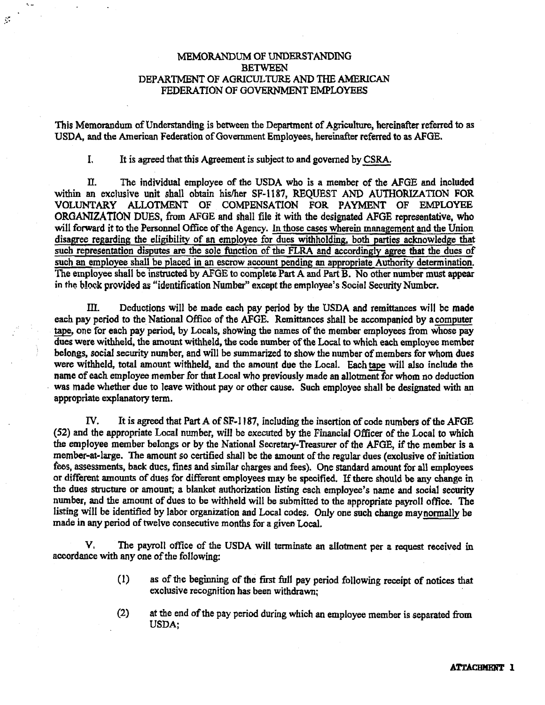## MEMORANDUM OF UNDERSTANDlNG **BETWEEN** DEPARTMENT OF AGRICULTIJRE AND THE AMERICAN FEDERATION OF GOVERNMENT EMPLOYEES

This Memorandum ofUnderstanding is between the Department of Agriculture, hereinafter referred to as USDA, and the American Federation of Government Employees, hereinafter referred to as AFGE.

I. It is agreed that this Agreement is subject to and governed by CSRA.

 $\mathcal{G}$ 

II. The individual employee of the USDA who is a member of the AFGE and included within an exclusive unit shall obtain his/her SF-1187. REQUEST AND AUTHORIZATION FOR VOLUNTARY ALLOTMENT OF COMPENSATION FOR PAYMENT OF EMPLOYEE ORGANIZATION DUES, from AFGE and shall file it with the designated AFGE representative, who will forward it to the Personnel Office of the Agency. In those cases wherein management and the Union disagree regarding the eligibility of an employee for dues withholding. both parties acknowledge that such representation disputes are the sole function of the FLRA and accordingly agree that the dues of such an employee shall be placed in an escrow account pending an appropriate Authority determination. The employee shall be instructed by AFGE to complete Part A and Part B. No other number must appear in the block provided as "identification Number" except the employee's Social Security Number.

III. Deductions wiii be made each pay period by the USDA and remittances will be made each pay period to the National Office of the AFGE. Remittances shall be accompanied by a computer tape, one for each pay period, by Locals, showing the names of the member employees from whose pay dues were withheld, the amount withheld, the code number of the Local to which each employee member belongs, social security number, and will be summarized to show the number of members for whom dues were withheld, total amount withheld, and the amount due the Local. Each tape will also include the name of each employee member for that Local who previously made an allotment for whom no deduction was made whether due to leave without pay or other cause. Such employee shall be designated with an appropriate explanatory term.

IV. It is agreed that Part A of SF-1187, including the insertion of code numbers of the AFGE (52) and the appropriate Local number, will be executed by the Financial Officer of the Local to which the employee member belongs or by the National Secretary-Treasurer of the AFGE, if the member is a member-at-large. The amount so certified shall be the amount of the regular dues (exclusive of initiation fees, assessments, back dues, fines and similar charges and fees). One standard amount for all employees or different amounts of dues for different employees may be specified. If there should be any change in the dues structure or amount; a blanket authorization listing each employee's name and social security number, and the amount of dues to be withheld will be submitted to the appropriate payroll office. The listing will be identified by labor organization and Local codes. Only one such change maynormally be made in any period of twelve consecutive months for a given Local.

V, The payroll office of the USDA will terminate an allotment per a request received in accordance with any one of the following:

- (I) as of the beginning of the first full pay period following receipt of notices that exclusive recognition has been withdrawn;
- (2) at the end of the pay period during which an employee member is separated from USDA;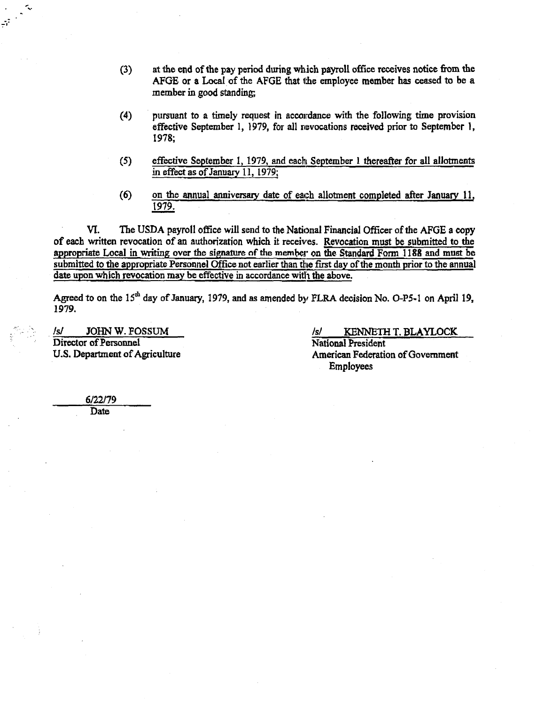- (3) at the end of the pay period during wh.ich payroll office receives notice from the AFGE or a Local of the AFGE that the employee member has ceased to be a member in good standing;
- (4) pursuant to a timely request in accordance with the following time provision effective September 1, 1979, for all revocations received prior to September 1, 1978;
- (5) effective September 1, 1979, and each September 1 thereafter for all allotments in effect as of January 11, 1979;
- (6) on the annual anniversary date of each allotment completed after January 11, 1979.

VI. The USDA payroll office will send to the National Financial Officer of the AFGE a copy of each written revocation of an authorization which it receives. Revocation must be submitted to the appropriate Local in writing over the signature of the member on the Standard Form 1188 and must be submitted to the appropriate Personnel Office not earlier than the first day of the month prior to the annual date upon which revocation may be effective in accordance with the above.

Agreed to on the  $15<sup>th</sup>$  day of January, 1979, and as amended by FLRA decision No. O-P5-1 on April 19, 1979.

Director of Personnel<br>U.S. Department of Agriculture

*Is/* **JOHN W. FOSSUM** *ls/ <i>ls/* **<b>KENNETH T. BLAYLOCK** Director of Personnel American Federation of Government Employees

6122179 **Date** 

, ...

 $\mathbb{R}$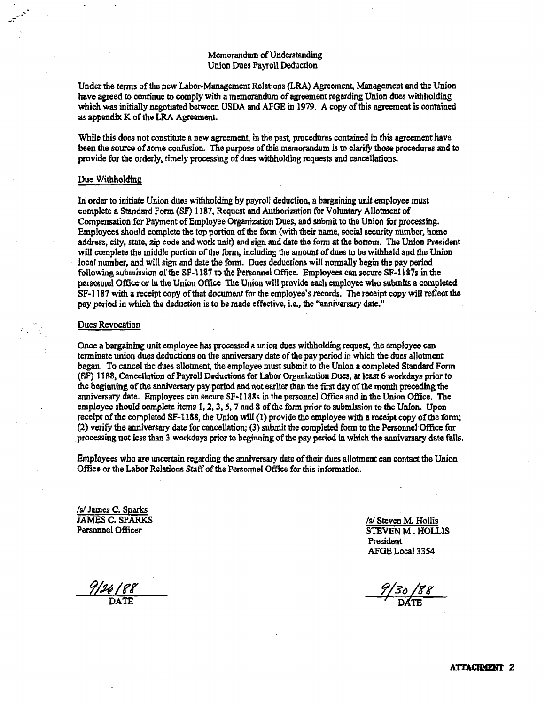### Memorandum of Understanding Union Dues Payroll Deduction

Under the tenns of the new Labor-Management Relations (LRA) Agreement, Management and the Union have agreed to continue to comply with a memorandum of agreement regarding Union dues withholding which was initially negotiated between USDA and AFGE in 1979. A copy of this agreement is contained as appendix K of the LRA Agreement.

While this does not constitute a new agreement, in the past, procedures contained in this agreement have been the source of some confusion. The purpose of this memorandum is to clarify those procedures and to provide for the orderly, timely processing of dues withholding requests and cancellations.

### Uue Withholding

ln order to initiate Union dues withholding by payroll deduction, a bargaining unit employee must complete a Standard Form (SF) 1187, Request and Authorization for Voluntary Allotment of Compensation for Payment of Employee Organization Dues, and submit to the Union for processing. Employees should complete the top portion of the form (with their name, social security number, home address, city, state, zip code and work unir) and sign and date the form at the bottom. The Union President will complete the middle portion of the form, including the amount of dues to be withheld and the Union local number, and will sign and date the form. Dues deductions will nonnally begin the pay period following submission of the SF-1187 to the Personnei Office. Employees can secure SF-1187s in the personnel Office or in the Union Office The Union will provide each employee who submits a completed SF-1187 with a receipt copy of that document for the employee's records. The receipt copy will reflect the pay period in which the deduction is to be made effective, i.e., the "anniversary date."

#### Dues Revocation

Once a bargaining unit employee has processed a union dues withholding request, the employee can terminate union dues deductions on the anniversary date ofthe pay period in which the dues allotment began. To cancel the dues allotment, the employee must submit to the Union a completed Standard Fonn (SF) 1188. Concellation of Payroll Deductions for Labor Organization Dues, at least 6 workdays prior to the beginning of the anniversary pay period and not earlier than the first day of the month preceding the anniversary date. Employees can secure SF-1188s in the personnel Office and in the Union Office. The employee should complete items 1, 2, 3, 5, 7 and 8 of the form prior to submission to the Union. Upon receipt of the completed  $SF-1188$ , the Union will  $(1)$  provide the employee with a receipt copy of the form; (2) verify the anniversary date for cancellation; (3) submit the completed form to the Personnel Office for processing not less than 3 workdays prior to beginning of the pay period in which the anniversary date falls.

Employees who are uncertain regarding the anniversary date oftheir dues allotment can contact the Union Office or the Labor Relations Staff of the Personnel Office for this information.

**Is James C. Sparks**<br>**JAMES C. SPARKS** JAMES C. SPARKS *lsi lsi* Steven M. Hollis **legal of the Steven M. Hollis Personnel Officer** 

STEVEN M. HOLLIS President AFGE Local 3354

 $\frac{9}{26}$  88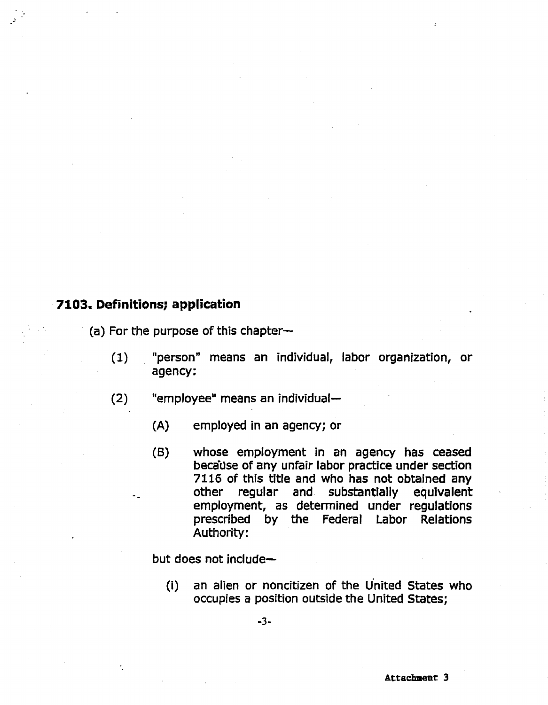# **7103. Definitions; application**

 $(a)$  For the purpose of this chapter $\sim$ 

- (1) "person" means an individual, labor organization, or agency:
- $(2)$  "employee" means an individual-
	- (A) employed in an agency; or
	- (B) whose employment in an agency has ceased because of any unfair labor practice under section 7116 of this title and who has not obtained any other regular and substantially equivalent employment, as determined under regulations prescribed by the Federal Labor Relations Authority:

but does not include

(i) an alien or noncitizen of the u'nited States who occupies a position outside the United States;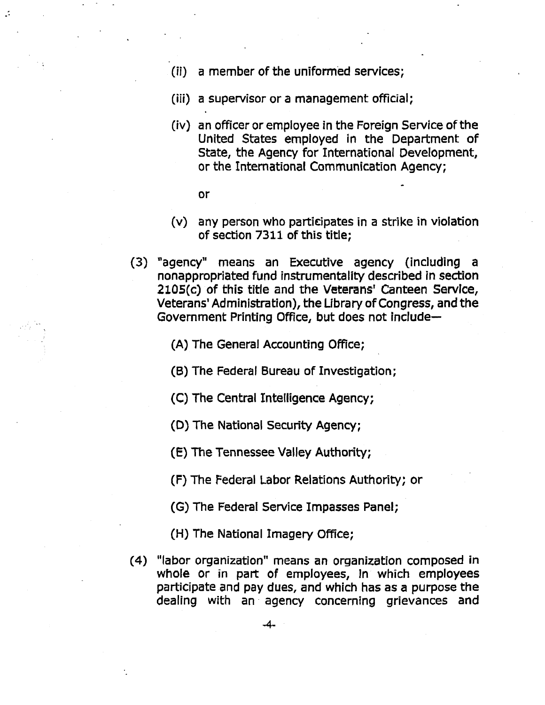- (ii) a member of the uniformed services;
- (iii) a supervisor or a management official;
- (iv) an officer or employee in the Foreign Service of the United States employed in the Department of State, the Agency for International Development, or the International Communication Agency;
	- or
- $(v)$  any person who participates in a strike in violation of section 7311 of this title;
- (3) "agency" means an Executive agency (including nonappropriated fund instrumentality described in section 210S(c) of this title and the Veterans' Canteen Service, Veterans' Administration), the Library of Congress, and the Government Printing Office, but does not include

(A) The General Accounting Office;

- (B) The Federal Bureau of Investigation;
- (C) The Central Intelligence Agency;
- (D) The National Security Agency;
- (E) The Tennessee Valley Authority;
- (F) The Federal Labor Relations Authority; or
- (G) The Federal Service Impasses Panel;
- (H) The National Imagery Office;
- (4) "labor organization" means an organization composed in whole or in part of employees, In which employees participate and pay dues, and which has as a purpose the dealing with an· agency concerning grievances and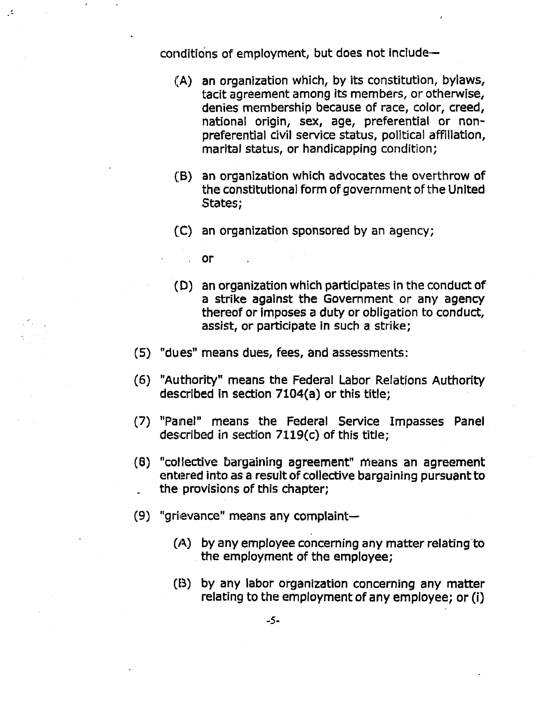conditions of employment, but does not include $-$ 

- (A) an organization which, by its constitution, bylaws, tacit agreement among its members, or otherwise, denies membership because of race, color, creed, national origin, sex, age, preferential or nonpreferential civil service status, political affiliation, marital status, or handicapping condition;
- (B) an organization which advocates the overthrow of the constitutional form of government of the United States;
- (C) an organization sponsored by an agency;
	- or
- (D) an organization which participates in the conduct of a strike against the Government or any agency thereof or imposes a duty or obligation to conduct, assist, or participate in such a strike;
- (S) "dues" means dues, fees, and assessments:
- (6) "Authority" means the Federal Labor Relations Authority described in section 7104(a) or this title;
- (7) "Painel" means the Federal Service Impasses Panel described in section  $7119(c)$  of this title;
- (B) "collective bargaining agreement" means an agreement entered into as a result of collective bargaining pursuant to the provisions of this chapter;
- $(9)$  "grievance" means any complaint-
	- $(A)$  by any employee concerning any matter relating to the employment of the employee;
	- (B) by any labor organization concerning any matter relating to the employment of any employee; or (i)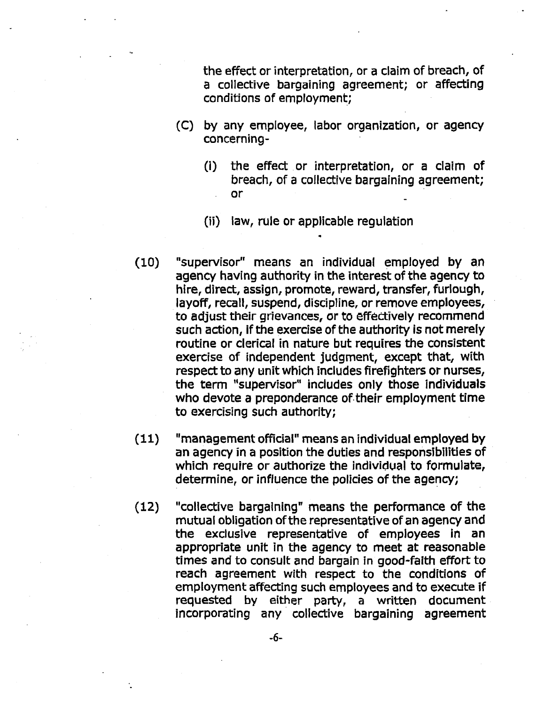the effect or interpretation, or a claim of breach, of a collective bargaining agreement; or affecting conditions of employment;

- (C) by any employee, labor organization, or agency concerning
	- (i) the effect . or interpretation, or a claim of breach, of a collective bargaining agreement; or
	- (ii) law, rule or applicable regulation
- (10) "supervisor" means an individual employed by an agency having authority in the interest of the agency to hire, direct, assign, promote, reward, transfer, furlough, layoff, recall, suspend, discipline, or remove employees, to adjust their grievances, or to effectively recommend such action, if the exercise of the authority is not merely routine or clerical in nature but requires the consistent exercise of independent judgment, except that, with respect to any unit which includes firefighters or nurses, the term "supervisor" includes only those individuals who devote a preponderance of.their employment time to exercising such authority;
- (11) "management official" means an individual employed by an agency in a position the duties and responsibilities of which require or authorize the individual to formulate, determine, or influence the policies of the agency;
- {12) "collective bargaining" means the performance of the mutual obligation ofthe representative of an agency and the exclusive representative of employees in an appropriate unit in the agency to meet at reasonable times and to consult and bargain in good-faith effort to reach agreement with respect to the conditions of employment affecting such employees and to execute if requested by either party, a written document incorporating any collective bargaining agreement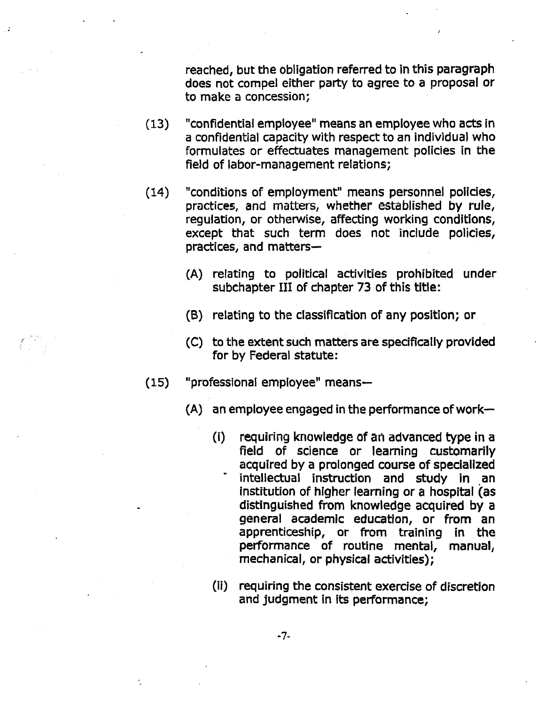reached, but the obligation referred to in this paragraph does not compel either party to agree to a proposal or to make a concession;

- (13) "confidential employee" means an employee who acts in a confidential capacity wlth respect to an individual who formulates or effectuates management policies in the field of labor-management relations;
- (14) "conditions of employment" means personnel policies, practices, and matters, whether established by rule, regulation, or otherwise, affecting working conditions, except that such term does not include policies, practices, and matters
	- (A) relating to political activities prohibited under subchapter III of chapter 73 of this title:
	- (B) relating to the classification of any position; or
	- (C) to the extent such matters are specifically provided for by Federal statute:
- $(15)$  "professional employee" means-
	- $(A)$  an employee engaged in the performance of work-
		- {i) requiring knowledge of an advanced type in a field of science or learning customarily acquired by a prolonged course of specialized intellectual instruction and study in an institution of higher learning or a hospital (as distinguished from knowledge acquired by a general academic education, or from an apprenticeship, or from training in the performance of routine mental, manual, mechanical, or physical activities);
		- (ii) requiring the consistent exercise of discretion and judgment in its performance;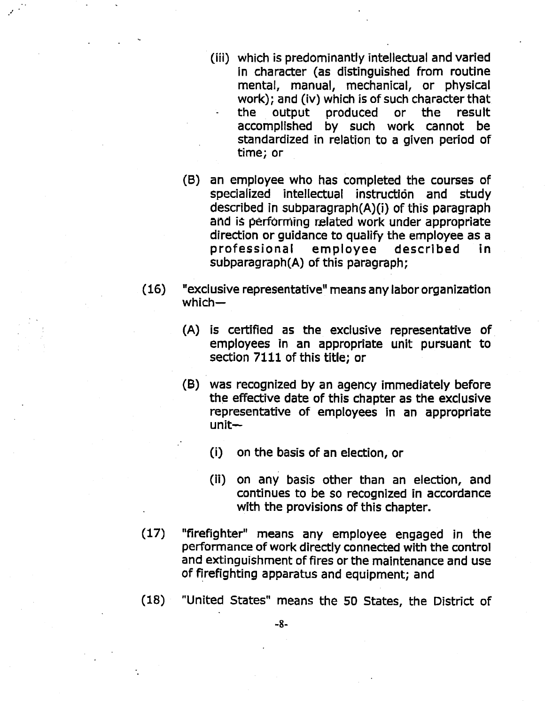- (iii) which is predominantly intellectual and varied in character (as distinguished from routine mental, manual, mechanical, or physical work); and (iv) which is of such character that the output produced or the result accomplished by such work cannot be standardized in relation to a given period of time; or
- (B) an employee who has completed the courses of specialized intellectual instruction and study described in subparagraph(A)(i) of this paragraph and is performing related work under appropriate direction or guidance to qualify the employee as a professional employee described in subparagraph(A) of this paragraph;
- (16) "exclusive representative" means any labor organization which-
	- (A) is certified as the exclusive representative of employees in an appropriate unit pursuant to section 7111 of this title; or
	- (B) was recognized by an agency immediately before the effective date of this chapter as the exclusive representative of employees in an appropriate unit
		- (i) on the basis of an election, or
		- (ii) on any basis other than an election, and continues to be so recognized in accordance with the provisions of this chapter.
- (17) "firefighter" means any employee engaged in the performance of work directly connected with the control and extinguishment of fires or the maintenance and use of firefighting apparatus and equipment; and
- (18) "United States" means the 50 States, the District of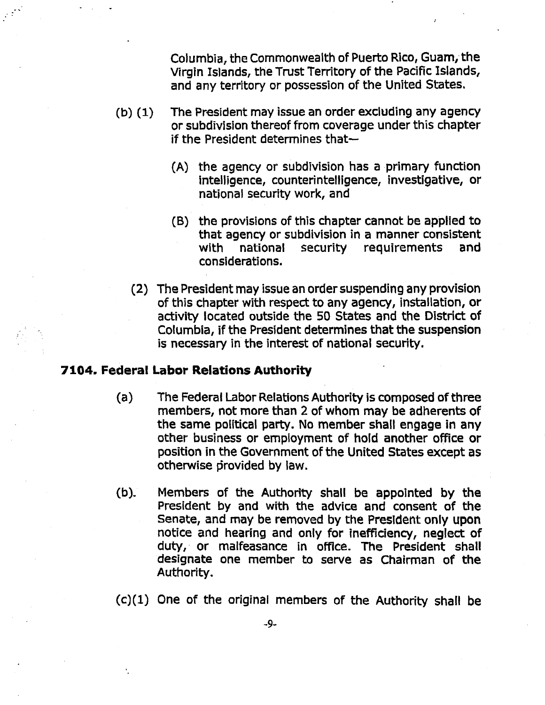Columbia, the Commonwealth of Puerto Rico, Guam, the Virgin Islands, the Trust Territory of the Pacific Islands, and any territory or possession of the United States.

- (b) {1) The President may issue an order excluding any agency or subdivision thereof from coverage under this chapter if the President determines that
	- (A) the agency or subdivision has a primary function intelligence, counterintelligence, investigative, or national security work, and
	- (B) the provisions of this chapter cannot be applied to that agency or subdivision in a manner consistent with national security requirements and considerations.
	- (2) The President may issue an order suspending any provision of this chapter with respect to any agency, installation, or activity located outside the 50 States and the District of Columbia, if the President determines that the suspension is necessary in the interest of national security.

# 7104. Federal Labor Relations Authority

- (a) The Federal Labor Relations Authority is composed of three members, not more than 2 of whom may be adherents of the same political party. No member shall engage in any other business or employment of hold another office or position in the Government of the United States except as otherwise provided by law.
- (b). Members of the Authority shall be appointed by the President by and with the advice and consent of the senate, and may be removed by the President only upon notice and hearing and only for inefficiency, neglect of duty, or malfeasance in office. The President shall designate one member to serve as Chairman of the Authority.

 $(c)(1)$  One of the original members of the Authority shall be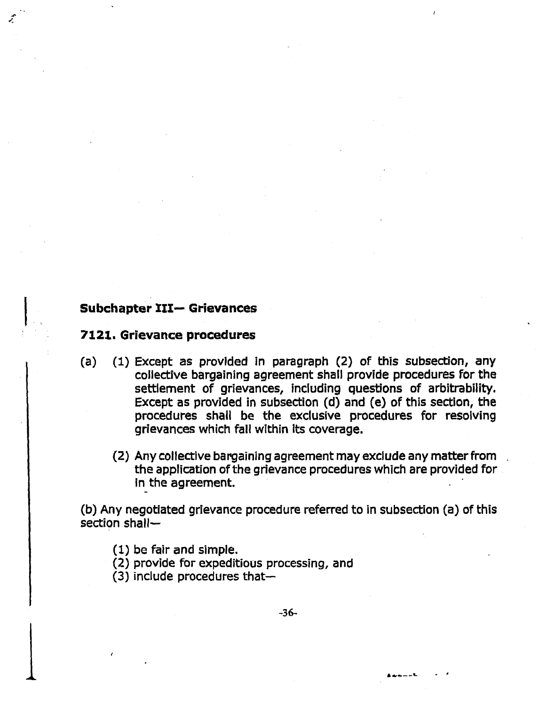# Subchapter III- Grievances

## **7121. Grievance procedures**

- (a) (1) Except as provided in paragraph (2) of this subsection, any collective bargaining agreement shall provide procedures for the settlement of grievances, including questions of arbitrability. Except as provided in subsection (d) and (e) of this section, the procedures shall be the exclusive procedures for resolving grievances which fall within Its coverage.
	- {2) Any collective bargaining agreement may exclude any matter from the application of the grievance procedures which are provided for in the agreement.

(b) Any negotiated grievance procedure referred to in subsection (a) of this section shall-

- $(1)$  be fair and simple.
- (2) provide for expeditious processing, and
- $(3)$  include procedures that-

-36

**···--'L** - .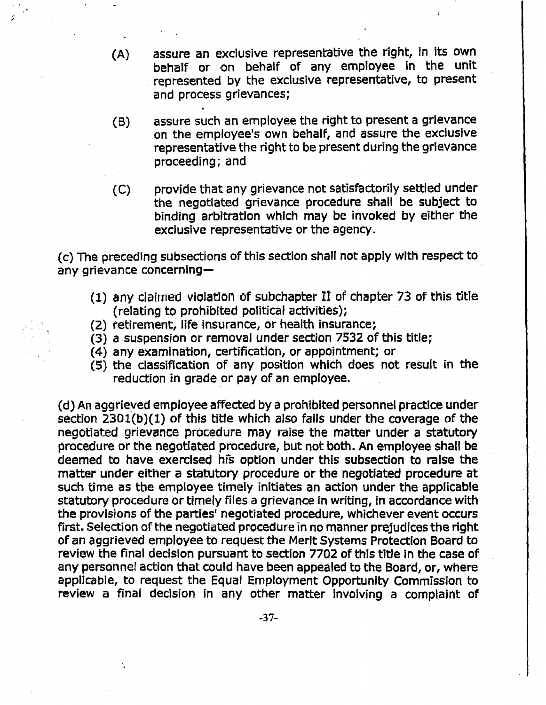- (A} assure an exclusive representative the right, in its own behalf or on behalf of any employee in the unit represented by the exclusive representative, to present and process grievances;
- (B) assure such an employee the right to present a grievance on the employee's own behalf, and assure the exclusive representative the right to be present during the grievance proceeding; and
- (C) provide that any grievance not satisfactorily settled under the negotiated grievance procedure shall be subject to binding arbitration which may be invoked by either the exclusive representative or the agency.

(c) The preceding subsections of this section shall not apply with respect to any grievance concerning-

- $(1)$  any claimed violation of subchapter II of chapter 73 of this title (relating to prohibited political activities);
- (2) retirement, life insurance, or health insurance;

.. "

- $(3)$  a suspension or removal under section 7532 of this title;
- $(4)$  any examination, certification, or appointment; or
- (5) the classification of any position which does not result in the reduction in grade or pay of an employee.

{d) An aggrieved employee affected by a prohibited personnel practice under section  $2301(b)(1)$  of this title which also falls under the coverage of the negotiated grievance procedure may raise the matter under a statutory procedure or the negotiated procedure, but not both. An employee shall be deemed to have exercised his option under this subsection to raise the matter under either a statutory procedure or the negotiated procedure at such time as tbe employee timely initiates an action under the applicable statutory procedure or timely files a grievance in writing, in accordance with the provisions of the parties' negotiated procedure, whichever event occurs first. Selection of the negotiated procedure in no manner prejudices the right of an aggrieved employee to request the Merit Systems Protection Board to review the final decision pursuant to section 7702 of this title in the case of any personnel action that could have been appealed to the Board, or, where applicable, to request the Equal Employment Opportunity Commission to review a final decision in any other matter involving a complaint of